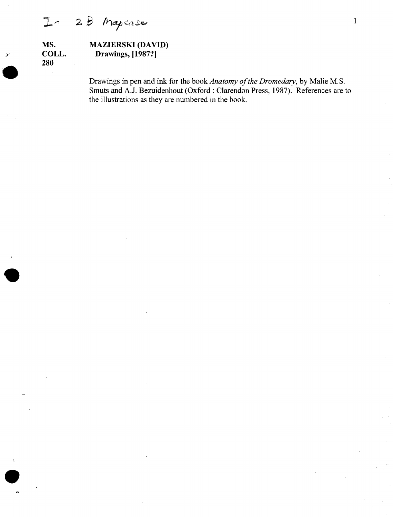28 Mapcase  $In$ 

)'**'.**

 $\ddot{\phantom{a}}$ 

•<br>●

•<br>•<br>•

#### **MS. COLL. 280 MAZIERSKI (DAVID) Drawings, [1987?]**

Drawings in pen and ink for the book *Anatomy of the Dromedary*, by Malie M.S. Smuts and A.J. Bezuidenhout (Oxford: Clarendon Press, 1987). References are to the illustrations as they are numbered in the book.

1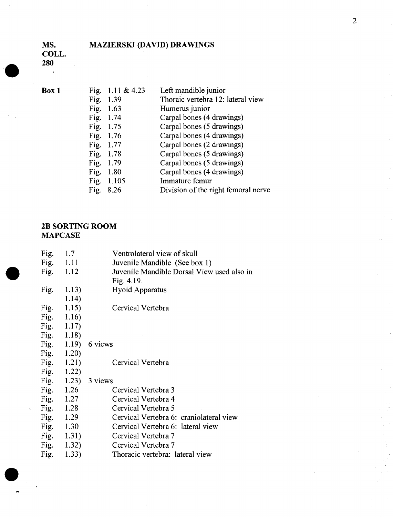### MAZIERSKI (DAVID) DRAWINGS

MS. COLL.

 $\overline{\phantom{a}}$ 

280

**•** 

 $\bullet$ 

 $Box 1$ 

| Fig. | 1.11 & $4.23$ | Left mandible junior                |
|------|---------------|-------------------------------------|
| Fig. | 1.39          | Thoraic vertebra 12: lateral view   |
| Fig. | 1.63          | Humerus junior                      |
| Fig. | 1.74          | Carpal bones (4 drawings)           |
| Fig. | 1.75          | Carpal bones (5 drawings)           |
| Fig. | 1.76          | Carpal bones (4 drawings)           |
| Fig. | 1.77          | Carpal bones (2 drawings)           |
| Fig. | 1.78          | Carpal bones (5 drawings)           |
| Fig. | 1.79          | Carpal bones (5 drawings)           |
| Fig. | 1.80          | Carpal bones (4 drawings)           |
| Fig. | 1.105         | Immature femur                      |
| Fig. | 8.26          | Division of the right femoral nerve |
|      |               |                                     |

|                      | Fig. | 1.7           | Ventrolateral view of skull                |
|----------------------|------|---------------|--------------------------------------------|
|                      |      | Fig. $1.11$   | Juvenile Mandible (See box 1)              |
|                      |      | Fig. $1.12$   | Juvenile Mandible Dorsal View used also in |
|                      |      |               | Fig. $4.19$ .                              |
|                      | Fig. | 1.13)         | <b>Hyoid Apparatus</b>                     |
|                      |      | 1.14)         |                                            |
|                      | Fig. | 1.15)         | Cervical Vertebra                          |
|                      | Fig. | 1.16)         |                                            |
|                      |      | Fig. $1.17$ ) |                                            |
|                      |      | Fig. $1.18$ ) |                                            |
|                      |      |               | Fig. $1.19$ ) 6 views                      |
|                      | Fig. | 1.20)         |                                            |
|                      | Fig. | 1.21)         | Cervical Vertebra                          |
|                      |      | Fig. $1.22$ ) |                                            |
|                      |      |               | Fig. $1.23$ ) 3 views                      |
|                      | Fig. | 1.26          | Cervical Vertebra 3                        |
|                      |      | Fig. $1.27$   | Cervical Vertebra 4                        |
| $\mathbf{v}^{(i)}$ . |      | Fig. $1.28$   | Cervical Vertebra 5                        |
|                      |      | Fig. $1.29$   | Cervical Vertebra 6: craniolateral view    |
|                      | Fig. | 1.30          | Cervical Vertebra 6: lateral view          |
|                      |      | Fig. $1.31$ ) | Cervical Vertebra 7                        |
|                      |      | Fig. $1.32$ ) | Cervical Vertebra 7                        |
|                      | Fig. | 1.33)         | Thoracic vertebra: lateral view            |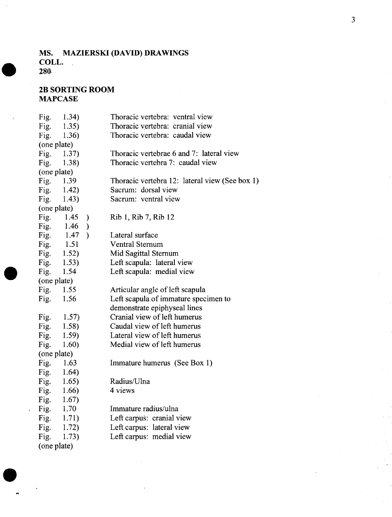#### **MS. MAZIERSKI (DAVID) DRAWINGS COLL. 280-**

#### **2B SORTING ROOM MAPCASE**

**•** 

| Fig.        | 1.34)                 | Thoracic vertebra: ventral view                |
|-------------|-----------------------|------------------------------------------------|
| Fig.        | 1.35)                 | Thoracic vertebra: cranial view                |
| Fig.        | 1.36)                 | Thoracic vertebra: caudal view                 |
| (one plate) |                       |                                                |
| Fig.        | 1.37)                 | Thoracic vertebrae 6 and 7: lateral view       |
| Fig.        | 1.38)                 | Thoracic vertebra 7: caudal view               |
| (one plate) |                       |                                                |
| Fig. 1.39   |                       | Thoracic vertebra 12: lateral view (See box 1) |
| Fig.        | 1.42)                 | Sacrum: dorsal view                            |
| Fig.        | 1.43)                 | Sacrum: ventral view                           |
| (one plate) |                       |                                                |
| Fig.        | 1.45<br>$\mathcal{E}$ | Rib 1, Rib 7, Rib 12                           |
| Fig.        | 1.46<br>$\mathcal{F}$ |                                                |
| Fig.        | 1.47<br>$\lambda$     | Lateral surface                                |
| Fig.        | 1.51                  | <b>Ventral Sternum</b>                         |
| Fig.        | 1.52)                 | Mid Sagittal Sternum                           |
| Fig.        | 1.53)                 | Left scapula: lateral view                     |
| Fig.        | 1.54                  | Left scapula: medial view                      |
| (one plate) |                       |                                                |
| Fig. 1.55   |                       | Articular angle of left scapula                |
| Fig.        | 1.56                  | Left scapula of immature specimen to           |
|             |                       | demonstrate epiphyseal lines                   |
| Fig.        | 1.57)                 | Cranial view of left humerus                   |
| Fig.        | 1.58)                 | Caudal view of left humerus                    |
| Fig.        | 1.59)                 | Lateral view of left humerus                   |
| Fig.        | 1.60)                 | Medial view of left humerus                    |
| (one plate) |                       |                                                |
| Fig.        | 1.63                  | Immature humerus (See Box 1)                   |
| Fig.        | 1.64)                 |                                                |
| Fig.        | 1.65)                 | Radius/Ulna                                    |
| Fig.        | 1.66)                 | 4 views                                        |
| Fig.        | 1.67)                 |                                                |
| Fig.        | 1.70                  | Immature radius/ulna                           |
| Fig.        | 1.71)                 | Left carpus: cranial view                      |
| Fig.        | 1.72)                 | Left carpus: lateral view                      |
| Fig.        | 1.73)                 | Left carpus: medial view                       |
| (one plate) |                       |                                                |
|             |                       |                                                |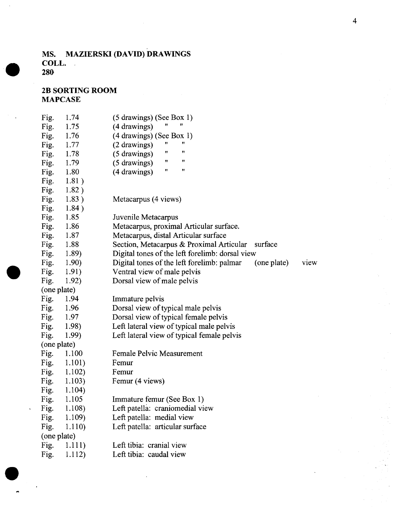#### **MS. MAZIERSKI (DAVID) DRAWINGS COLL. 28(}**

**2B SORTING ROOM MAPCASE**

**•** 

**•** 

| Fig.        | 1.74   | $(5$ drawings) (See Box 1)                                        |
|-------------|--------|-------------------------------------------------------------------|
| Fig.        | 1.75   | (4 drawings)                                                      |
| Fig.        | 1.76   | $(4$ drawings) (See Box 1)                                        |
| Fig.        | 1.77   | 11<br>11<br>(2 drawings)                                          |
| Fig.        | 1.78   | 11<br>Ħ<br>(5 drawings)                                           |
| Fig.        | 1.79   | Ħ<br>Ħ<br>(5 drawings)                                            |
| Fig.        | 1.80   | 11<br>11<br>(4 drawings)                                          |
| Fig.        | 1.81)  |                                                                   |
| Fig.        | 1.82)  |                                                                   |
| Fig.        | 1.83)  | Metacarpus (4 views)                                              |
| Fig.        | 1.84)  |                                                                   |
| Fig.        | 1.85   | Juvenile Metacarpus                                               |
| Fig.        | 1.86   | Metacarpus, proximal Articular surface.                           |
| Fig.        | 1.87   | Metacarpus, distal Articular surface                              |
| Fig.        | 1.88   | Section, Metacarpus & Proximal Articular<br>surface               |
| Fig.        | 1.89)  | Digital tones of the left forelimb: dorsal view                   |
| Fig.        | 1.90)  | Digital tones of the left forelimb: palmar<br>(one plate)<br>view |
| Fig.        | 1.91)  | Ventral view of male pelvis                                       |
| Fig.        | 1.92)  | Dorsal view of male pelvis                                        |
| (one plate) |        |                                                                   |
| Fig.        | 1.94   | Immature pelvis                                                   |
| Fig.        | 1.96   | Dorsal view of typical male pelvis                                |
| Fig.        | 1.97   | Dorsal view of typical female pelvis                              |
| Fig.        | 1.98)  | Left lateral view of typical male pelvis                          |
| Fig.        | 1.99)  | Left lateral view of typical female pelvis                        |
| (one plate) |        |                                                                   |
| Fig.        | 1.100  | Female Pelvic Measurement                                         |
| Fig.        | 1.101) | Femur                                                             |
| Fig.        | 1.102) | Femur                                                             |
| Fig.        | 1.103) | Femur (4 views)                                                   |
| Fig.        | 1.104) |                                                                   |
| Fig.        | 1.105  | Immature femur (See Box 1)                                        |
| Fig.        | 1.108) | Left patella: craniomedial view                                   |
| Fig.        | 1.109) | Left patella: medial view                                         |
| Fig.        | 1.110) | Left patella: articular surface                                   |
| (one plate) |        |                                                                   |
| Fig.        | 1.111) | Left tibia: cranial view                                          |
| Fig.        | 1.112) | Left tibia: caudal view                                           |
|             |        |                                                                   |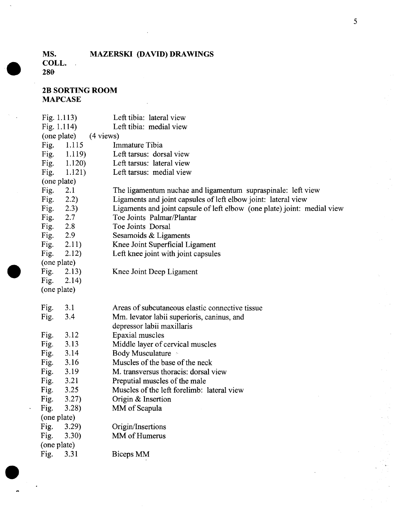### **MAZERSKI (DAVID) DRAWINGS**

**COLL. 280-**

**MS.**

**•** 

**•** 

 $\bullet$ 

| Fig. $1.113$ ) |                | Left tibia: lateral view                                                 |  |  |
|----------------|----------------|--------------------------------------------------------------------------|--|--|
| Fig. $1.114$ ) |                | Left tibia: medial view                                                  |  |  |
| (one plate)    | (4 views)      |                                                                          |  |  |
| Fig.           | 1.115          | Immature Tibia                                                           |  |  |
|                | Fig. $1.119$ ) | Left tarsus: dorsal view                                                 |  |  |
| Fig.           | 1.120)         | Left tarsus: lateral view                                                |  |  |
| Fig.           | 1.121)         | Left tarsus: medial view                                                 |  |  |
| (one plate)    |                |                                                                          |  |  |
| Fig.           | 2.1            | The ligamentum nuchae and ligamentum supraspinale: left view             |  |  |
| Fig.           | 2.2)           | Ligaments and joint capsules of left elbow joint: lateral view           |  |  |
| Fig.           | 2.3)           | Ligaments and joint capsule of left elbow (one plate) joint: medial view |  |  |
| Fig.           | 2.7            | Toe Joints Palmar/Plantar                                                |  |  |
| Fig.           | 2.8            | Toe Joints Dorsal                                                        |  |  |
| Fig.           | 2.9            | Sesamoids & Ligaments                                                    |  |  |
| Fig.           | 2.11)          | Knee Joint Superficial Ligament                                          |  |  |
| Fig.           | 2.12)          | Left knee joint with joint capsules                                      |  |  |
| (one plate)    |                |                                                                          |  |  |
| Fig.           | 2.13)          | Knee Joint Deep Ligament                                                 |  |  |
| Fig.           | 2.14)          |                                                                          |  |  |
| (one plate)    |                |                                                                          |  |  |
|                |                |                                                                          |  |  |
| Fig.           | 3.1            | Areas of subcutaneous elastic connective tissue                          |  |  |
| Fig.           | 3.4            | Mm. levator labii superioris, caninus, and                               |  |  |
|                |                | depressor labii maxillaris                                               |  |  |
| Fig.           | 3.12           | Epaxial muscles                                                          |  |  |
| Fig.           | 3.13           | Middle layer of cervical muscles                                         |  |  |
| Fig.           | 3.14           | Body Musculature                                                         |  |  |
| Fig.           | 3.16           | Muscles of the base of the neck                                          |  |  |
| Fig.           | 3.19           | M. transversus thoracis: dorsal view                                     |  |  |
| Fig.           | 3.21           | Preputial muscles of the male                                            |  |  |
| Fig.           | 3.25           | Muscles of the left forelimb: lateral view                               |  |  |
| Fig.           | 3.27)          | Origin & Insertion                                                       |  |  |
| Fig.           | 3.28           | MM of Scapula                                                            |  |  |
| (one plate)    |                |                                                                          |  |  |
| Fig.           | 3.29)          | Origin/Insertions                                                        |  |  |
| Fig.           | 3.30)          | MM of Humerus                                                            |  |  |
| (one plate)    |                |                                                                          |  |  |
| Fig.           | 3.31           | Biceps MM                                                                |  |  |
|                |                |                                                                          |  |  |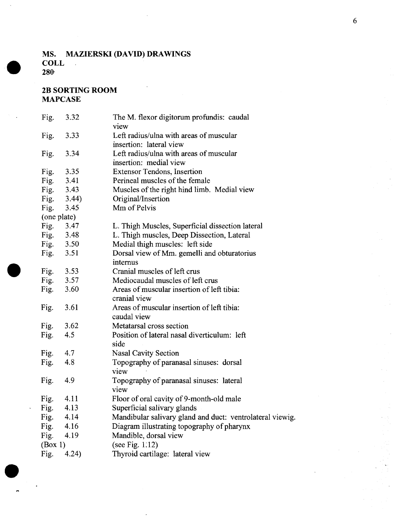#### MS. MAZIERSKI (DAVID) DRAWINGS **COLL**  $\overline{\phantom{a}}$ 280·

#### 2B SORTING ROOM MAPCASE

**•** 

| Fig.    | 3.32        | The M. flexor digitorum profundis: caudal<br>view         |
|---------|-------------|-----------------------------------------------------------|
| Fig.    | 3.33        | Left radius/ulna with areas of muscular                   |
|         |             | insertion: lateral view                                   |
| Fig.    | 3.34        | Left radius/ulna with areas of muscular                   |
|         |             | insertion: medial view                                    |
| Fig.    | 3.35        | <b>Extensor Tendons, Insertion</b>                        |
| Fig.    | 3.41        | Perineal muscles of the female                            |
| Fig.    | 3.43        | Muscles of the right hind limb. Medial view               |
| Fig.    | 3.44)       | Original/Insertion                                        |
| Fig.    | 3.45        | Mm of Pelvis                                              |
|         | (one plate) |                                                           |
| Fig.    | 3.47        | L. Thigh Muscles, Superficial dissection lateral          |
| Fig.    | 3.48        | L. Thigh muscles, Deep Dissection, Lateral                |
| Fig.    | 3.50        | Medial thigh muscles: left side                           |
| Fig.    | 3.51        | Dorsal view of Mm. gemelli and obturatorius               |
|         |             | internus                                                  |
| Fig.    | 3.53        | Cranial muscles of left crus                              |
| Fig.    | 3.57        | Mediocaudal muscles of left crus                          |
| Fig.    | 3.60        | Areas of muscular insertion of left tibia:                |
|         |             | cranial view                                              |
| Fig.    | 3.61        | Areas of muscular insertion of left tibia:                |
|         |             | caudal view                                               |
| Fig.    | 3.62        | Metatarsal cross section                                  |
| Fig.    | 4.5         | Position of lateral nasal diverticulum: left              |
|         |             | side                                                      |
| Fig.    | 4.7         | Nasal Cavity Section                                      |
| Fig.    | 4.8         | Topography of paranasal sinuses: dorsal                   |
|         |             | view                                                      |
| Fig.    | 4.9         | Topography of paranasal sinuses: lateral                  |
|         |             | view                                                      |
| Fig.    | 4.11        | Floor of oral cavity of 9-month-old male                  |
| Fig.    | 4.13        | Superficial salivary glands                               |
| Fig.    | 4.14        | Mandibular salivary gland and duct: ventrolateral viewig. |
| Fig.    | 4.16        | Diagram illustrating topography of pharynx                |
| Fig.    | 4.19        | Mandible, dorsal view                                     |
| (Box 1) |             | (see Fig. $1.12$ )                                        |
| Fig.    | 4.24)       | Thyroid cartilage: lateral view                           |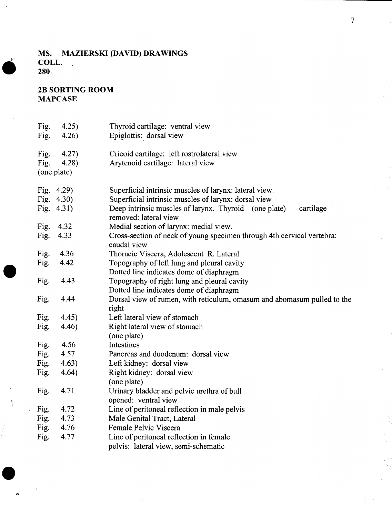#### **MS. MAZIERSKI (DAVID) DRAWINGS COLL.** 280,

#### **2B SORTING ROOM MAPCASE**

| Fig.          | 4.25) | Thyroid cartilage: ventral view                                                             |
|---------------|-------|---------------------------------------------------------------------------------------------|
| Fig.          | 4.26) | Epiglottis: dorsal view                                                                     |
| Fig.          | 4.27) | Cricoid cartilage: left rostrolateral view                                                  |
| Fig.          | 4.28  | Arytenoid cartilage: lateral view                                                           |
| (one plate)   |       |                                                                                             |
| Fig. $4.29$ ) |       | Superficial intrinsic muscles of larynx: lateral view.                                      |
| Fig. $4.30$ ) |       | Superficial intrinsic muscles of larynx: dorsal view                                        |
| Fig. $4.31$ ) |       | Deep intrinsic muscles of larynx. Thyroid (one plate)<br>cartilage<br>removed: lateral view |
| Fig.          | 4.32  | Medial section of larynx: medial view.                                                      |
| Fig.          | 4.33  | Cross-section of neck of young specimen through 4th cervical vertebra:<br>caudal view       |
| Fig.          | 4.36  | Thoracic Viscera, Adolescent R. Lateral                                                     |
| Fig.          | 4.42  | Topography of left lung and pleural cavity<br>Dotted line indicates dome of diaphragm       |
| Fig.          | 4.43  | Topography of right lung and pleural cavity<br>Dotted line indicates dome of diaphragm      |
| Fig.          | 4.44  | Dorsal view of rumen, with reticulum, omasum and abomasum pulled to the<br>right            |
| Fig.          | 4.45) | Left lateral view of stomach                                                                |
| Fig.          | 4.46) | Right lateral view of stomach<br>(one plate)                                                |
| Fig.          | 4.56  | Intestines                                                                                  |
| Fig.          | 4.57  | Pancreas and duodenum: dorsal view                                                          |
| Fig.          | 4.63) | Left kidney: dorsal view                                                                    |
| Fig.          | 4.64) | Right kidney: dorsal view<br>(one plate)                                                    |
| Fig.          | 4.71  | Urinary bladder and pelvic urethra of bull<br>opened: ventral view                          |
| Fig.          | 4.72  | Line of peritoneal reflection in male pelvis                                                |
| Fig.          | 4.73  | Male Genital Tract, Lateral                                                                 |
| Fig.          | 4.76  | Female Pelvic Viscera                                                                       |
| Fig.          | 4.77  | Line of peritoneal reflection in female<br>pelvis: lateral view, semi-schematic             |
|               |       |                                                                                             |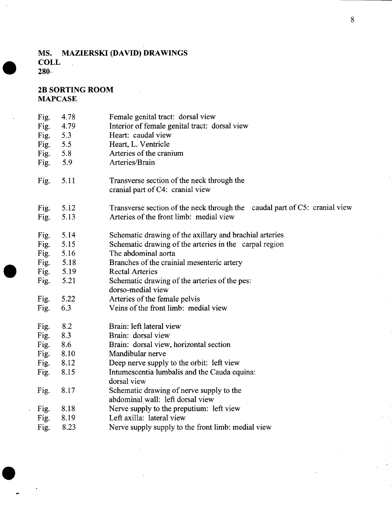#### **MS. MAZIERSKI (DAVID) DRAWINGS COLL** 280,

**2B SORTING ROOM MAPCASE**

**•** 

 $\bullet$ 

Fig. 4.78 Fig. 4.79 Fig. 5.3 Fig. 5.5 Fig. 5.8 Fig. 5.9 Fig. 5.11 Fig. 5.12 Fig. 5.13 Fig. 5.14 Fig. 5.15 Fig. 5.16 Fig. 5.16<br>Fig. 5.18<br>Fig. 5.19<br>Fig. 5.21 Fig. 5.19 Fig. 5.21 Fig. 5.22 Fig. 6.3 Fig. 8.2 Fig. 8.3 Fig. 8.6 Fig. 8.10 Fig. 8.12 Fig. 8.15 Fig. 8.17 Fig. 8.18 Fig. 8.19 Fig. 8.23 Female genital tract: dorsal view Interior of female genital tract: dorsal view Heart: caudal view Heart, L. Ventricle Arteries of the cranium Arteries/Brain Transverse section of the neck through the cranial part of C4: cranial view Transverse section of the neck through the caudal part of  $C5$ : cranial view Arteries of the front limb: medial view Schematic drawing of the axillary and brachial arteries Schematic drawing of the arteries in the carpal region The abdominal aorta Branches of the crainial mesenteric artery Rectal Arteries Schematic drawing of the arteries of the pes: dorso-medial view Arteries of the female pelvis Veins of the front limb: medial view Brain: left lateral view Brain: dorsal view Brain: dorsal view, horizontal section Mandibular nerve Deep nerve supply to the orbit: left view Intumescentia lumbalis and the Cauda equina: dorsal view Schematic drawing of nerve supply to the abdominal wall: left dorsal view Nerve supply to the preputium: left view Left axilla: lateral view Nerve supply supply to the front limb: medial view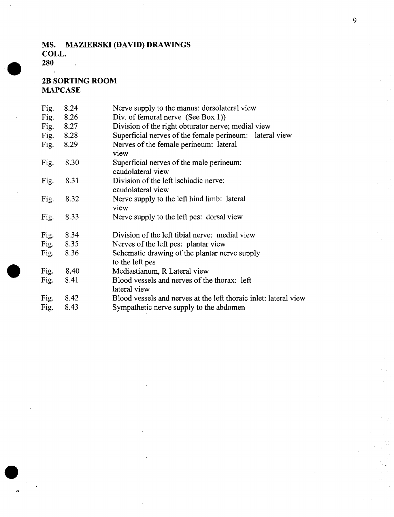#### **MS. MAZIERSKI (DAVID) DRAWINGS COLL.**  $\ddot{\phantom{a}}$

**280**  $\ddot{\phantom{1}}$ 

**•** 

 $\bullet$ 

| Fig. | 8.24 | Nerve supply to the manus: dorsolateral view                     |
|------|------|------------------------------------------------------------------|
| Fig. | 8.26 | Div. of femoral nerve (See Box 1))                               |
| Fig. | 8.27 | Division of the right obturator nerve; medial view               |
| Fig. | 8.28 | Superficial nerves of the female perineum: lateral view          |
| Fig. | 8.29 | Nerves of the female perineum: lateral<br>view                   |
| Fig. | 8.30 | Superficial nerves of the male perineum:<br>caudolateral view    |
| Fig. | 8.31 | Division of the left ischiadic nerve:<br>caudolateral view       |
| Fig. | 8.32 | Nerve supply to the left hind limb: lateral<br>view              |
| Fig. | 8.33 | Nerve supply to the left pes: dorsal view                        |
| Fig. | 8.34 | Division of the left tibial nerve: medial view                   |
| Fig. | 8.35 | Nerves of the left pes: plantar view                             |
| Fig. | 8.36 | Schematic drawing of the plantar nerve supply<br>to the left pes |
| Fig. | 8.40 | Mediastianum, R Lateral view                                     |
| Fig. | 8.41 | Blood vessels and nerves of the thorax: left<br>lateral view     |
| Fig. | 8.42 | Blood vessels and nerves at the left thoraic inlet: lateral view |
| Fig. | 8.43 | Sympathetic nerve supply to the abdomen                          |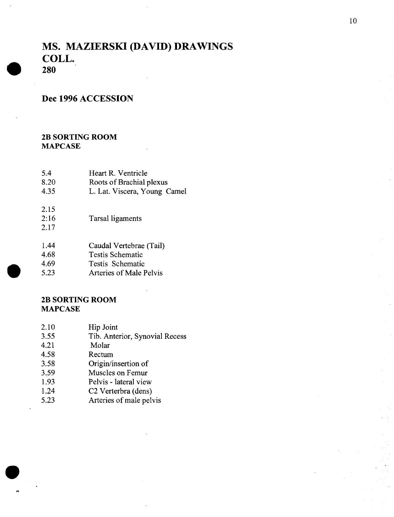### **MS. MAZIERSKI (DAVID) DRAWINGS COLL. 280**

**•** 

**•** 

**•** 

#### **Dec 1996 ACCESSION**

#### **2B SORTING ROOM MAPCASE**

| 5.4  | Heart R. Ventricle       |
|------|--------------------------|
| 8.20 | Roots of Brachial plexus |

- 4.35 L. Lat. Viscera, Young Camel
- 2: 16 Tarsal ligaments
- 2.17

2.15

- 1.44 Caudal Vertebrae (Tail)
- 4.68 Testis Schematic
- 4.69 Testis Schematic
- 5.23 Arteries of Male Pelvis

| 2.10 | Hip Joint                       |
|------|---------------------------------|
|      |                                 |
| 3.55 | Tib. Anterior, Synovial Recess  |
| 4.21 | Molar                           |
| 4.58 | Rectum                          |
| 3.58 | Origin/insertion of             |
| 3.59 | Muscles on Femur                |
| 1.93 | Pelvis - lateral view           |
| 1.24 | C <sub>2</sub> Verterbra (dens) |
| 5.23 | Arteries of male pelvis         |
|      |                                 |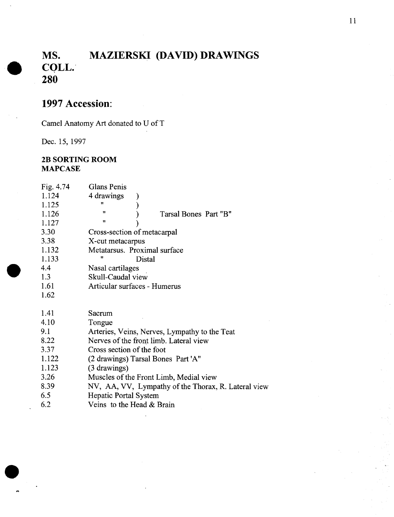# **MS. MAZIERSKI (DAVID) DRAWINGS • CQLL.' 280**

### **1997 Accession:**

Camel Anatomy Art donated to U ofT

Dec. 15, 1997

**•** 

 $\bullet$ 

| Fig. 4.74<br>1.124<br>1.125<br>1.126<br>1.127<br>3.30<br>3.38<br>1.132<br>1.133<br>4.4<br>1.3 | Glans Penis<br>4 drawings<br>11<br>11<br>Tarsal Bones Part "B"<br>11<br>Cross-section of metacarpal<br>X-cut metacarpus<br>Metatarsus. Proximal surface<br>Ħ<br>Distal<br>Nasal cartilages<br>Skull-Caudal view                                                                                                                                       |
|-----------------------------------------------------------------------------------------------|-------------------------------------------------------------------------------------------------------------------------------------------------------------------------------------------------------------------------------------------------------------------------------------------------------------------------------------------------------|
| 1.61<br>1.62                                                                                  | Articular surfaces - Humerus                                                                                                                                                                                                                                                                                                                          |
| 1.41<br>4.10<br>9.1<br>8.22<br>3.37<br>1.122<br>1.123<br>3.26<br>8.39<br>6.5<br>6.2           | Sacrum<br>Tongue<br>Arteries, Veins, Nerves, Lympathy to the Teat<br>Nerves of the front limb. Lateral view<br>Cross section of the foot<br>(2 drawings) Tarsal Bones Part 'A"<br>(3 drawings)<br>Muscles of the Front Limb, Medial view<br>NV, AA, VV, Lympathy of the Thorax, R. Lateral view<br>Hepatic Portal System<br>Veins to the Head & Brain |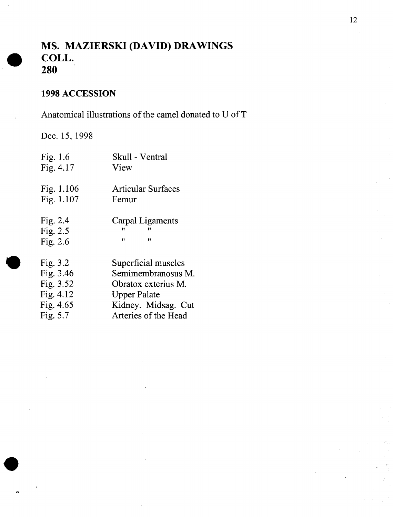# **MS. MAZIERSKI (DAVID) DRAWINGS COLL. 280**

### **1998 ACCESSION**

Anatomical illustrations of the camel donated to U of T

Dec. 15, 1998

**•** 

**•** 

| Fig. $1.6$<br>Fig. $4.17$                                                          | Skull - Ventral<br>View                                                                                                                |
|------------------------------------------------------------------------------------|----------------------------------------------------------------------------------------------------------------------------------------|
| Fig. $1.106$<br>Fig. 1.107                                                         | <b>Articular Surfaces</b><br>Femur                                                                                                     |
| Fig. $2.4$<br>Fig. $2.5$<br>Fig. $2.6$                                             | Carpal Ligaments<br>"<br>$^{\dagger}$<br>11                                                                                            |
| Fig. $3.2$<br>Fig. $3.46$<br>Fig. 3.52<br>Fig. $4.12$<br>Fig. $4.65$<br>Fig. $5.7$ | Superficial muscles<br>Semimembranosus M.<br>Obratox exterius M.<br><b>Upper Palate</b><br>Kidney. Midsag. Cut<br>Arteries of the Head |